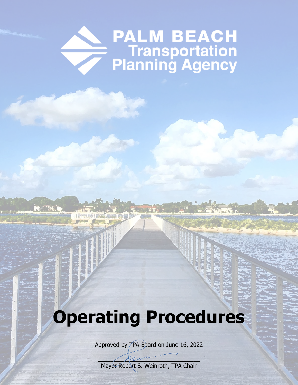# **PALM BEACH<br>Transportation<br>Planning Agency**

## **Operating Procedures**

**KE TAE** 

164

Approved by TPA Board on June 16, 2022

 $\overline{\mathcal{L}}$ Mayor Robert S. Weinroth, TPA Chair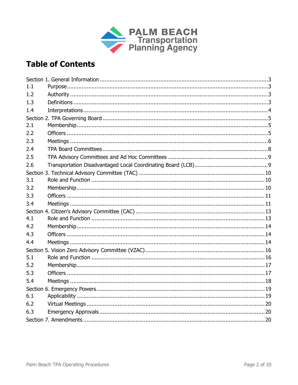

### **Table of Contents**

| 1.1 |  |  |
|-----|--|--|
| 1.2 |  |  |
| 1.3 |  |  |
| 1.4 |  |  |
|     |  |  |
| 2.1 |  |  |
| 2.2 |  |  |
| 2.3 |  |  |
| 2.4 |  |  |
| 2.5 |  |  |
| 2.6 |  |  |
|     |  |  |
| 3.1 |  |  |
| 3.2 |  |  |
| 3.3 |  |  |
| 3.4 |  |  |
|     |  |  |
| 4.1 |  |  |
| 4.2 |  |  |
| 4.3 |  |  |
| 4.4 |  |  |
|     |  |  |
| 5.1 |  |  |
| 5.2 |  |  |
| 5.3 |  |  |
| 5.4 |  |  |
|     |  |  |
| 6.1 |  |  |
| 6.2 |  |  |
| 6.3 |  |  |
|     |  |  |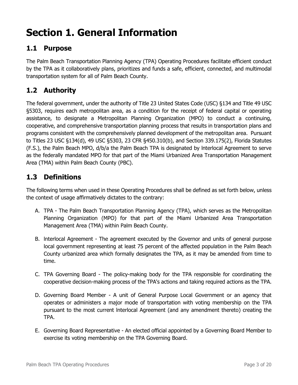## <span id="page-2-0"></span>**Section 1. General Information**

#### <span id="page-2-1"></span>**1.1 Purpose**

The Palm Beach Transportation Planning Agency (TPA) Operating Procedures facilitate efficient conduct by the TPA as it collaboratively plans, prioritizes and funds a safe, efficient, connected, and multimodal transportation system for all of Palm Beach County.

#### <span id="page-2-2"></span>**1.2 Authority**

The federal government, under the authority of Title 23 United States Code (USC) §134 and Title 49 USC §5303, requires each metropolitan area, as a condition for the receipt of federal capital or operating assistance, to designate a Metropolitan Planning Organization (MPO) to conduct a continuing, cooperative, and comprehensive transportation planning process that results in transportation plans and programs consistent with the comprehensively planned development of the metropolitan area. Pursuant to Titles 23 USC §134(d), 49 USC §5303, 23 CFR §450.310(b), and Section 339.175(2), Florida Statutes (F.S.), the Palm Beach MPO, d/b/a the Palm Beach TPA is designated by lnterlocal Agreement to serve as the federally mandated MPO for that part of the Miami Urbanized Area Transportation Management Area (TMA) within Palm Beach County (PBC).

#### <span id="page-2-3"></span>**1.3 Definitions**

The following terms when used in these Operating Procedures shall be defined as set forth below, unless the context of usage affirmatively dictates to the contrary:

- A. TPA The Palm Beach Transportation Planning Agency (TPA), which serves as the Metropolitan Planning Organization (MPO) for that part of the Miami Urbanized Area Transportation Management Area (TMA) within Palm Beach County.
- B. lnterlocal Agreement The agreement executed by the Governor and units of general purpose local government representing at least 75 percent of the affected population in the Palm Beach County urbanized area which formally designates the TPA, as it may be amended from time to time.
- C. TPA Governing Board The policy-making body for the TPA responsible for coordinating the cooperative decision-making process of the TPA's actions and taking required actions as the TPA.
- D. Governing Board Member A unit of General Purpose Local Government or an agency that operates or administers a major mode of transportation with voting membership on the TPA pursuant to the most current lnterlocal Agreement (and any amendment thereto) creating the TPA.
- E. Governing Board Representative An elected official appointed by a Governing Board Member to exercise its voting membership on the TPA Governing Board.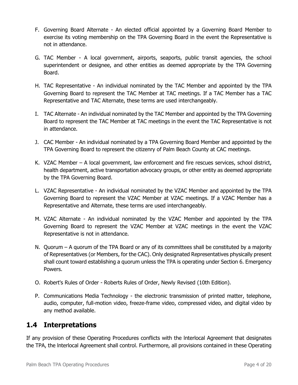- F. Governing Board Alternate An elected official appointed by a Governing Board Member to exercise its voting membership on the TPA Governing Board in the event the Representative is not in attendance.
- G. TAC Member A local government, airports, seaports, public transit agencies, the school superintendent or designee, and other entities as deemed appropriate by the TPA Governing Board.
- H. TAC Representative An individual nominated by the TAC Member and appointed by the TPA Governing Board to represent the TAC Member at TAC meetings. If a TAC Member has a TAC Representative and TAC Alternate, these terms are used interchangeably.
- I. TAC Alternate An individual nominated by the TAC Member and appointed by the TPA Governing Board to represent the TAC Member at TAC meetings in the event the TAC Representative is not in attendance.
- J. CAC Member An individual nominated by a TPA Governing Board Member and appointed by the TPA Governing Board to represent the citizenry of Palm Beach County at CAC meetings.
- K. VZAC Member A local government, law enforcement and fire rescues services, school district, health department, active transportation advocacy groups, or other entity as deemed appropriate by the TPA Governing Board.
- L. VZAC Representative An individual nominated by the VZAC Member and appointed by the TPA Governing Board to represent the VZAC Member at VZAC meetings. If a VZAC Member has a Representative and Alternate, these terms are used interchangeably.
- M. VZAC Alternate An individual nominated by the VZAC Member and appointed by the TPA Governing Board to represent the VZAC Member at VZAC meetings in the event the VZAC Representative is not in attendance.
- N. Quorum A quorum of the TPA Board or any of its committees shall be constituted by a majority of Representatives (or Members, for the CAC). Only designated Representatives physically present shall count toward establishing a quorum unless the TPA is operating under Section 6. Emergency Powers.
- O. Robert's Rules of Order Roberts Rules of Order, Newly Revised (10th Edition).
- P. Communications Media Technology the electronic transmission of printed matter, telephone, audio, computer, full-motion video, freeze-frame video, compressed video, and digital video by any method available.

#### <span id="page-3-0"></span>**1.4 Interpretations**

If any provision of these Operating Procedures conflicts with the lnterlocal Agreement that designates the TPA, the lnterlocal Agreement shall control. Furthermore, all provisions contained in these Operating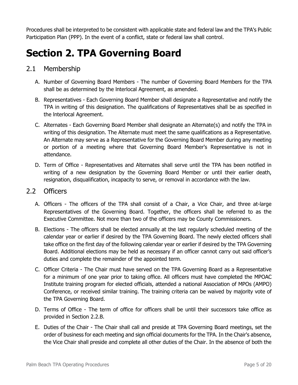Procedures shall be interpreted to be consistent with applicable state and federal law and the TPA's Public Participation Plan (PPP). In the event of a conflict, state or federal law shall control.

## <span id="page-4-0"></span>**Section 2. TPA Governing Board**

#### <span id="page-4-1"></span>2.1 Membership

- A. Number of Governing Board Members The number of Governing Board Members for the TPA shall be as determined by the lnterlocal Agreement, as amended.
- B. Representatives Each Governing Board Member shall designate a Representative and notify the TPA in writing of this designation. The qualifications of Representatives shall be as specified in the lnterlocal Agreement.
- C. Alternates Each Governing Board Member shall designate an Alternate(s) and notify the TPA in writing of this designation. The Alternate must meet the same qualifications as a Representative. An Alternate may serve as a Representative for the Governing Board Member during any meeting or portion of a meeting where that Governing Board Member's Representative is not in attendance.
- D. Term of Office Representatives and Alternates shall serve until the TPA has been notified in writing of a new designation by the Governing Board Member or until their earlier death, resignation, disqualification, incapacity to serve, or removal in accordance with the law.

#### <span id="page-4-2"></span>2.2 Officers

- A. Officers The officers of the TPA shall consist of a Chair, a Vice Chair, and three at-large Representatives of the Governing Board. Together, the officers shall be referred to as the Executive Committee. Not more than two of the officers may be County Commissioners.
- B. Elections The officers shall be elected annually at the last regularly scheduled meeting of the calendar year or earlier if desired by the TPA Governing Board. The newly elected officers shall take office on the first day of the following calendar year or earlier if desired by the TPA Governing Board. Additional elections may be held as necessary if an officer cannot carry out said officer's duties and complete the remainder of the appointed term.
- C. Officer Criteria The Chair must have served on the TPA Governing Board as a Representative for a minimum of one year prior to taking office. All officers must have completed the MPOAC Institute training program for elected officials, attended a national Association of MPOs (AMPO) Conference, or received similar training. The training criteria can be waived by majority vote of the TPA Governing Board.
- D. Terms of Office The term of office for officers shall be until their successors take office as provided in Section 2.2.B.
- E. Duties of the Chair The Chair shall call and preside at TPA Governing Board meetings, set the order of business for each meeting and sign official documents for the TPA. In the Chair's absence, the Vice Chair shall preside and complete all other duties of the Chair. In the absence of both the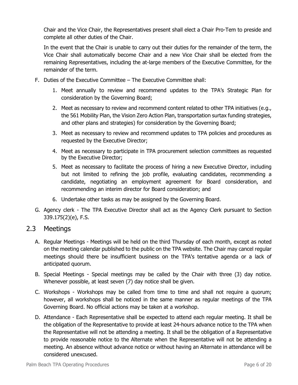Chair and the Vice Chair, the Representatives present shall elect a Chair Pro-Tem to preside and complete all other duties of the Chair.

In the event that the Chair is unable to carry out their duties for the remainder of the term, the Vice Chair shall automatically become Chair and a new Vice Chair shall be elected from the remaining Representatives, including the at-large members of the Executive Committee, for the remainder of the term.

- F. Duties of the Executive Committee The Executive Committee shall:
	- 1. Meet annually to review and recommend updates to the TPA's Strategic Plan for consideration by the Governing Board;
	- 2. Meet as necessary to review and recommend content related to other TPA initiatives (e.g., the 561 Mobility Plan, the Vision Zero Action Plan, transportation surtax funding strategies, and other plans and strategies) for consideration by the Governing Board;
	- 3. Meet as necessary to review and recommend updates to TPA policies and procedures as requested by the Executive Director;
	- 4. Meet as necessary to participate in TPA procurement selection committees as requested by the Executive Director;
	- 5. Meet as necessary to facilitate the process of hiring a new Executive Director, including but not limited to refining the job profile, evaluating candidates, recommending a candidate, negotiating an employment agreement for Board consideration, and recommending an interim director for Board consideration; and
	- 6. Undertake other tasks as may be assigned by the Governing Board.
- G. Agency clerk The TPA Executive Director shall act as the Agency Clerk pursuant to Section 339.175(2)(e), F.S.

#### <span id="page-5-0"></span>2.3 Meetings

- A. Regular Meetings Meetings will be held on the third Thursday of each month, except as noted on the meeting calendar published to the public on the TPA website. The Chair may cancel regular meetings should there be insufficient business on the TPA's tentative agenda or a lack of anticipated quorum.
- B. Special Meetings Special meetings may be called by the Chair with three (3) day notice. Whenever possible, at least seven (7) day notice shall be given.
- C. Workshops Workshops may be called from time to time and shall not require a quorum; however, all workshops shall be noticed in the same manner as regular meetings of the TPA Governing Board. No official actions may be taken at a workshop.
- D. Attendance Each Representative shall be expected to attend each regular meeting. It shall be the obligation of the Representative to provide at least 24-hours advance notice to the TPA when the Representative will not be attending a meeting. It shall be the obligation of a Representative to provide reasonable notice to the Alternate when the Representative will not be attending a meeting. An absence without advance notice or without having an Alternate in attendance will be considered unexcused.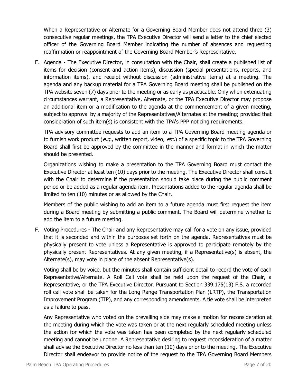When a Representative or Alternate for a Governing Board Member does not attend three (3) consecutive regular meetings, the TPA Executive Director will send a letter to the chief elected officer of the Governing Board Member indicating the number of absences and requesting reaffirmation or reappointment of the Governing Board Member's Representative.

E. Agenda - The Executive Director, in consultation with the Chair, shall create a published list of items for decision (consent and action items), discussion (special presentations, reports, and information items), and receipt without discussion (administrative items) at a meeting. The agenda and any backup material for a TPA Governing Board meeting shall be published on the TPA website seven (7) days prior to the meeting or as early as practicable. Only when extenuating circumstances warrant, a Representative, Alternate, or the TPA Executive Director may propose an additional item or a modification to the agenda at the commencement of a given meeting, subject to approval by a majority of the Representatives/Alternates at the meeting; provided that consideration of such item(s) is consistent with the TPA's PPP noticing requirements.

TPA advisory committee requests to add an item to a TPA Governing Board meeting agenda or to furnish work product (*e.g.*, written report, video, *etc.*) of a specific topic to the TPA Governing Board shall first be approved by the committee in the manner and format in which the matter should be presented.

Organizations wishing to make a presentation to the TPA Governing Board must contact the Executive Director at least ten (10) days prior to the meeting. The Executive Director shall consult with the Chair to determine if the presentation should take place during the public comment period or be added as a regular agenda item. Presentations added to the regular agenda shall be limited to ten (10) minutes or as allowed by the Chair.

Members of the public wishing to add an item to a future agenda must first request the item during a Board meeting by submitting a public comment. The Board will determine whether to add the item to a future meeting.

F. Voting Procedures - The Chair and any Representative may call for a vote on any issue, provided that it is seconded and within the purposes set forth on the agenda. Representatives must be physically present to vote unless a Representative is approved to participate remotely by the physically present Representatives. At any given meeting, if a Representative(s) is absent, the Alternate(s), may vote in place of the absent Representative(s).

Voting shall be by voice, but the minutes shall contain sufficient detail to record the vote of each Representative/Alternate. A Roll Call vote shall be held upon the request of the Chair, a Representative, or the TPA Executive Director. Pursuant to Section 339.175(13) F.S. a recorded roll call vote shall be taken for the Long Range Transportation Plan (LRTP), the Transportation Improvement Program (TIP), and any corresponding amendments. A tie vote shall be interpreted as a failure to pass.

Any Representative who voted on the prevailing side may make a motion for reconsideration at the meeting during which the vote was taken or at the next regularly scheduled meeting unless the action for which the vote was taken has been completed by the next regularly scheduled meeting and cannot be undone. A Representative desiring to request reconsideration of a matter shall advise the Executive Director no less than ten (10) days prior to the meeting. The Executive Director shall endeavor to provide notice of the request to the TPA Governing Board Members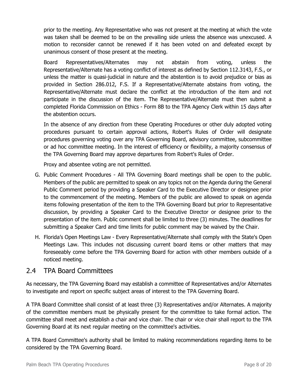prior to the meeting. Any Representative who was not present at the meeting at which the vote was taken shall be deemed to be on the prevailing side unless the absence was unexcused. A motion to reconsider cannot be renewed if it has been voted on and defeated except by unanimous consent of those present at the meeting.

Board Representatives/Alternates may not abstain from voting, unless the Representative/Alternate has a voting conflict of interest as defined by Section 112.3143, F.S., or unless the matter is quasi-judicial in nature and the abstention is to avoid prejudice or bias as provided in Section 286.012, F.S. If a Representative/Alternate abstains from voting, the Representative/Alternate must declare the conflict at the introduction of the item and not participate in the discussion of the item. The Representative/Alternate must then submit a completed Florida Commission on Ethics - Form 8B to the TPA Agency Clerk within 15 days after the abstention occurs.

In the absence of any direction from these Operating Procedures or other duly adopted voting procedures pursuant to certain approval actions, Robert's Rules of Order will designate procedures governing voting over any TPA Governing Board, advisory committee, subcommittee or ad hoc committee meeting. In the interest of efficiency or flexibility, a majority consensus of the TPA Governing Board may approve departures from Robert's Rules of Order.

Proxy and absentee voting are not permitted.

- G. Public Comment Procedures All TPA Governing Board meetings shall be open to the public. Members of the public are permitted to speak on any topics not on the Agenda during the General Public Comment period by providing a Speaker Card to the Executive Director or designee prior to the commencement of the meeting. Members of the public are allowed to speak on agenda items following presentation of the item to the TPA Governing Board but prior to Representative discussion, by providing a Speaker Card to the Executive Director or designee prior to the presentation of the item. Public comment shall be limited to three (3) minutes. The deadlines for submitting a Speaker Card and time limits for public comment may be waived by the Chair.
- H. Florida's Open Meetings Law Every Representative/Alternate shall comply with the State's Open Meetings Law. This includes not discussing current board items or other matters that may foreseeably come before the TPA Governing Board for action with other members outside of a noticed meeting.

#### <span id="page-7-0"></span>2.4 TPA Board Committees

As necessary, the TPA Governing Board may establish a committee of Representatives and/or Alternates to investigate and report on specific subject areas of interest to the TPA Governing Board.

A TPA Board Committee shall consist of at least three (3) Representatives and/or Alternates. A majority of the committee members must be physically present for the committee to take formal action. The committee shall meet and establish a chair and vice chair. The chair or vice chair shall report to the TPA Governing Board at its next regular meeting on the committee's activities.

A TPA Board Committee's authority shall be limited to making recommendations regarding items to be considered by the TPA Governing Board.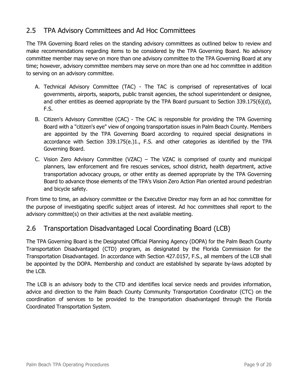#### <span id="page-8-0"></span>2.5 TPA Advisory Committees and Ad Hoc Committees

The TPA Governing Board relies on the standing advisory committees as outlined below to review and make recommendations regarding items to be considered by the TPA Governing Board. No advisory committee member may serve on more than one advisory committee to the TPA Governing Board at any time; however, advisory committee members may serve on more than one ad hoc committee in addition to serving on an advisory committee.

- A. Technical Advisory Committee (TAC) The TAC is comprised of representatives of local governments, airports, seaports, public transit agencies, the school superintendent or designee, and other entities as deemed appropriate by the TPA Board pursuant to Section 339.175(6)(d), F.S.
- B. Citizen's Advisory Committee (CAC) The CAC is responsible for providing the TPA Governing Board with a "citizen's eye" view of ongoing transportation issues in Palm Beach County. Members are appointed by the TPA Governing Board according to required special designations in accordance with Section 339.175(e.)1., F.S. and other categories as identified by the TPA Governing Board.
- C. Vision Zero Advisory Committee (VZAC) The VZAC is comprised of county and municipal planners, law enforcement and fire rescues services, school district, health department, active transportation advocacy groups, or other entity as deemed appropriate by the TPA Governing Board to advance those elements of the TPA's Vision Zero Action Plan oriented around pedestrian and bicycle safety.

From time to time, an advisory committee or the Executive Director may form an ad hoc committee for the purpose of investigating specific subject areas of interest. Ad hoc committees shall report to the advisory committee(s) on their activities at the next available meeting.

#### <span id="page-8-1"></span>2.6 Transportation Disadvantaged Local Coordinating Board (LCB)

The TPA Governing Board is the Designated Official Planning Agency (DOPA) for the Palm Beach County Transportation Disadvantaged (CTD) program, as designated by the Florida Commission for the Transportation Disadvantaged. In accordance with Section 427.0157, F.S., all members of the LCB shall be appointed by the DOPA. Membership and conduct are established by separate by-laws adopted by the LCB.

The LCB is an advisory body to the CTD and identifies local service needs and provides information, advice and direction to the Palm Beach County Community Transportation Coordinator (CTC) on the coordination of services to be provided to the transportation disadvantaged through the Florida Coordinated Transportation System.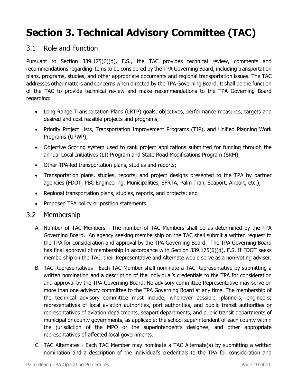## <span id="page-9-0"></span>**Section 3. Technical Advisory Committee (TAC)**

#### <span id="page-9-1"></span>3.1 Role and Function

Pursuant to Section 339.175(6)(d), F.S., the TAC provides technical review, comments and recommendations regarding items to be considered by the TPA Governing Board, including transportation plans, programs, studies, and other appropriate documents and regional transportation issues. The TAC addresses other matters and concerns when directed by the TPA Governing Board. It shall be the function of the TAC to provide technical review and make recommendations to the TPA Governing Board regarding:

- Long Range Transportation Plans (LRTP) goals, objectives, performance measures, targets and desired and cost feasible projects and programs;
- Priority Project Lists, Transportation Improvement Programs (TIP), and Unified Planning Work Programs (UPWP);
- Objective Scoring system used to rank project applications submitted for funding through the annual Local Initiatives (LI) Program and State Road Modifications Program (SRM);
- Other TPA-led transportation plans, studies and reports;
- Transportation plans, studies, reports, and project designs presented to the TPA by partner agencies (FDOT, PBC Engineering, Municipalities, SFRTA, Palm Tran, Seaport, Airport, etc.);
- Regional transportation plans, studies, reports, and projects; and
- Proposed TPA policy or position statements.

#### <span id="page-9-2"></span>3.2 Membership

- A. Number of TAC Members The number of TAC Members shall be as determined by the TPA Governing Board. An agency seeking membership on the TAC shall submit a written request to the TPA for consideration and approval by the TPA Governing Board. The TPA Governing Board has final approval of membership in accordance with Section 339.175(6)(d), F.S. If FDOT seeks membership on the TAC, their Representative and Alternate would serve as a non-voting adviser.
- B. TAC Representatives Each TAC Member shall nominate a TAC Representative by submitting a written nomination and a description of the individual's credentials to the TPA for consideration and approval by the TPA Governing Board. No advisory committee Representative may serve on more than one advisory committee to the TPA Governing Board at any time. The membership of the technical advisory committee must include, whenever possible, planners; engineers; representatives of local aviation authorities, port authorities, and public transit authorities or representatives of aviation departments, seaport departments, and public transit departments of municipal or county governments, as applicable; the school superintendent of each county within the jurisdiction of the MPO or the superintendent's designee; and other appropriate representatives of affected local governments.
- C. TAC Alternates Each TAC Member may nominate a TAC Alternate(s) by submitting a written nomination and a description of the individual's credentials to the TPA for consideration and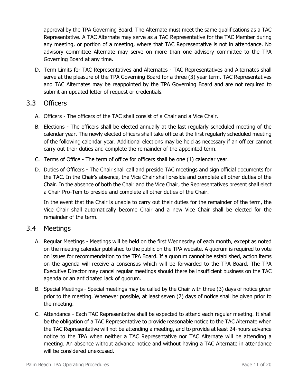approval by the TPA Governing Board. The Alternate must meet the same qualifications as a TAC Representative. A TAC Alternate may serve as a TAC Representative for the TAC Member during any meeting, or portion of a meeting, where that TAC Representative is not in attendance. No advisory committee Alternate may serve on more than one advisory committee to the TPA Governing Board at any time.

D. Term Limits for TAC Representatives and Alternates - TAC Representatives and Alternates shall serve at the pleasure of the TPA Governing Board for a three (3) year term. TAC Representatives and TAC Alternates may be reappointed by the TPA Governing Board and are not required to submit an updated letter of request or credentials.

#### <span id="page-10-0"></span>3.3 Officers

- A. Officers The officers of the TAC shall consist of a Chair and a Vice Chair.
- B. Elections The officers shall be elected annually at the last regularly scheduled meeting of the calendar year. The newly elected officers shall take office at the first regularly scheduled meeting of the following calendar year. Additional elections may be held as necessary if an officer cannot carry out their duties and complete the remainder of the appointed term.
- C. Terms of Office The term of office for officers shall be one (1) calendar year.
- D. Duties of Officers The Chair shall call and preside TAC meetings and sign official documents for the TAC. In the Chair's absence, the Vice Chair shall preside and complete all other duties of the Chair. In the absence of both the Chair and the Vice Chair, the Representatives present shall elect a Chair Pro-Tem to preside and complete all other duties of the Chair.

In the event that the Chair is unable to carry out their duties for the remainder of the term, the Vice Chair shall automatically become Chair and a new Vice Chair shall be elected for the remainder of the term.

#### <span id="page-10-1"></span>3.4 Meetings

- A. Regular Meetings Meetings will be held on the first Wednesday of each month, except as noted on the meeting calendar published to the public on the TPA website. A quorum is required to vote on issues for recommendation to the TPA Board. If a quorum cannot be established, action items on the agenda will receive a consensus which will be forwarded to the TPA Board. The TPA Executive Director may cancel regular meetings should there be insufficient business on the TAC agenda or an anticipated lack of quorum.
- B. Special Meetings Special meetings may be called by the Chair with three (3) days of notice given prior to the meeting. Whenever possible, at least seven (7) days of notice shall be given prior to the meeting.
- C. Attendance Each TAC Representative shall be expected to attend each regular meeting. It shall be the obligation of a TAC Representative to provide reasonable notice to the TAC Alternate when the TAC Representative will not be attending a meeting, and to provide at least 24-hours advance notice to the TPA when neither a TAC Representative nor TAC Alternate will be attending a meeting. An absence without advance notice and without having a TAC Alternate in attendance will be considered unexcused.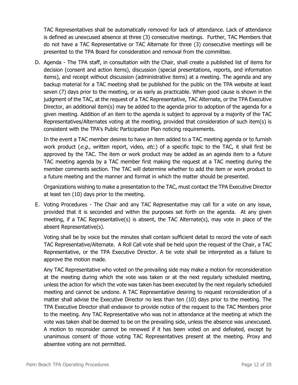TAC Representatives shall be automatically removed for lack of attendance. Lack of attendance is defined as unexcused absence at three (3) consecutive meetings. Further, TAC Members that do not have a TAC Representative or TAC Alternate for three (3) consecutive meetings will be presented to the TPA Board for consideration and removal from the committee.

D. Agenda - The TPA staff, in consultation with the Chair, shall create a published list of items for decision (consent and action items), discussion (special presentations, reports, and information items), and receipt without discussion (administrative items) at a meeting. The agenda and any backup material for a TAC meeting shall be published for the public on the TPA website at least seven (7) days prior to the meeting, or as early as practicable. When good cause is shown in the judgment of the TAC, at the request of a TAC Representative, TAC Alternate, or the TPA Executive Director, an additional item(s) may be added to the agenda prior to adoption of the agenda for a given meeting. Addition of an item to the agenda is subject to approval by a majority of the TAC Representatives/Alternates voting at the meeting, provided that consideration of such item(s) is consistent with the TPA's Public Participation Plan noticing requirements.

In the event a TAC member desires to have an item added to a TAC meeting agenda or to furnish work product (e.g., written report, video, etc.) of a specific topic to the TAC, it shall first be approved by the TAC. The item or work product may be added as an agenda item to a future TAC meeting agenda by a TAC member first making the request at a TAC meeting during the member comments section. The TAC will determine whether to add the item or work product to a future meeting and the manner and format in which the matter should be presented.

Organizations wishing to make a presentation to the TAC, must contact the TPA Executive Director at least ten (10) days prior to the meeting.

E. Voting Procedures - The Chair and any TAC Representative may call for a vote on any issue, provided that it is seconded and within the purposes set forth on the agenda. At any given meeting, if a TAC Representative(s) is absent, the TAC Alternate(s), may vote in place of the absent Representative(s).

Voting shall be by voice but the minutes shall contain sufficient detail to record the vote of each TAC Representative/Alternate. A Roll Call vote shall be held upon the request of the Chair, a TAC Representative, or the TPA Executive Director. A tie vote shall be interpreted as a failure to approve the motion made.

Any TAC Representative who voted on the prevailing side may make a motion for reconsideration at the meeting during which the vote was taken or at the next regularly scheduled meeting, unless the action for which the vote was taken has been executed by the next regularly scheduled meeting and cannot be undone. A TAC Representative desiring to request reconsideration of a matter shall advise the Executive Director no less than ten (10) days prior to the meeting. The TPA Executive Director shall endeavor to provide notice of the request to the TAC Members prior to the meeting. Any TAC Representative who was not in attendance at the meeting at which the vote was taken shall be deemed to be on the prevailing side, unless the absence was unexcused. A motion to reconsider cannot be renewed if it has been voted on and defeated, except by unanimous consent of those voting TAC Representatives present at the meeting. Proxy and absentee voting are not permitted.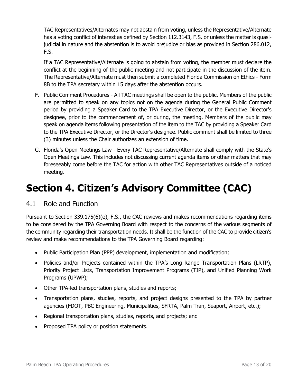TAC Representatives/Alternates may not abstain from voting, unless the Representative/Alternate has a voting conflict of interest as defined by Section 112.3143, F.S. or unless the matter is quasijudicial in nature and the abstention is to avoid prejudice or bias as provided in Section 286.012, F.S.

If a TAC Representative/Alternate is going to abstain from voting, the member must declare the conflict at the beginning of the public meeting and not participate in the discussion of the item. The Representative/Alternate must then submit a completed Florida Commission on Ethics - Form 8B to the TPA secretary within 15 days after the abstention occurs.

- F. Public Comment Procedures All TAC meetings shall be open to the public. Members of the public are permitted to speak on any topics not on the agenda during the General Public Comment period by providing a Speaker Card to the TPA Executive Director, or the Executive Director's designee, prior to the commencement of, or during, the meeting. Members of the public may speak on agenda items following presentation of the item to the TAC by providing a Speaker Card to the TPA Executive Director, or the Director's designee. Public comment shall be limited to three (3) minutes unless the Chair authorizes an extension of time.
- G. Florida's Open Meetings Law Every TAC Representative/Alternate shall comply with the State's Open Meetings Law. This includes not discussing current agenda items or other matters that may foreseeably come before the TAC for action with other TAC Representatives outside of a noticed meeting.

## <span id="page-12-0"></span>**Section 4. Citizen's Advisory Committee (CAC)**

#### <span id="page-12-1"></span>4.1 Role and Function

Pursuant to Section 339.175(6)(e), F.S., the CAC reviews and makes recommendations regarding items to be considered by the TPA Governing Board with respect to the concerns of the various segments of the community regarding their transportation needs. It shall be the function of the CAC to provide citizen's review and make recommendations to the TPA Governing Board regarding:

- Public Participation Plan (PPP) development, implementation and modification;
- Policies and/or Projects contained within the TPA's Long Range Transportation Plans (LRTP), Priority Project Lists, Transportation Improvement Programs (TIP), and Unified Planning Work Programs (UPWP);
- Other TPA-led transportation plans, studies and reports;
- Transportation plans, studies, reports, and project designs presented to the TPA by partner agencies (FDOT, PBC Engineering, Municipalities, SFRTA, Palm Tran, Seaport, Airport, etc.);
- Regional transportation plans, studies, reports, and projects; and
- Proposed TPA policy or position statements.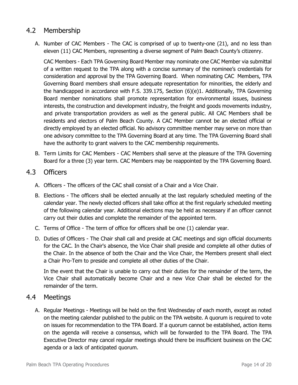#### <span id="page-13-0"></span>4.2 Membership

A. Number of CAC Members - The CAC is comprised of up to twenty-one (21), and no less than eleven (11) CAC Members, representing a diverse segment of Palm Beach County's citizenry.

CAC Members - Each TPA Governing Board Member may nominate one CAC Member via submittal of a written request to the TPA along with a concise summary of the nominee's credentials for consideration and approval by the TPA Governing Board. When nominating CAC Members, TPA Governing Board members shall ensure adequate representation for minorities, the elderly and the handicapped in accordance with F.S. 339.175, Section (6)(e)1. Additionally, TPA Governing Board member nominations shall promote representation for environmental issues, business interests, the construction and development industry, the freight and goods movements industry, and private transportation providers as well as the general public. All CAC Members shall be residents and electors of Palm Beach County. A CAC Member cannot be an elected official or directly employed by an elected official. No advisory committee member may serve on more than one advisory committee to the TPA Governing Board at any time. The TPA Governing Board shall have the authority to grant waivers to the CAC membership requirements.

B. Term Limits for CAC Members - CAC Members shall serve at the pleasure of the TPA Governing Board for a three (3) year term. CAC Members may be reappointed by the TPA Governing Board.

#### <span id="page-13-1"></span>4.3 Officers

- A. Officers The officers of the CAC shall consist of a Chair and a Vice Chair.
- B. Elections The officers shall be elected annually at the last regularly scheduled meeting of the calendar year. The newly elected officers shall take office at the first regularly scheduled meeting of the following calendar year. Additional elections may be held as necessary if an officer cannot carry out their duties and complete the remainder of the appointed term.
- C. Terms of Office The term of office for officers shall be one (1) calendar year.
- D. Duties of Officers The Chair shall call and preside at CAC meetings and sign official documents for the CAC. In the Chair's absence, the Vice Chair shall preside and complete all other duties of the Chair. In the absence of both the Chair and the Vice Chair, the Members present shall elect a Chair Pro-Tem to preside and complete all other duties of the Chair.

In the event that the Chair is unable to carry out their duties for the remainder of the term, the Vice Chair shall automatically become Chair and a new Vice Chair shall be elected for the remainder of the term.

#### <span id="page-13-2"></span>4.4 Meetings

A. Regular Meetings - Meetings will be held on the first Wednesday of each month, except as noted on the meeting calendar published to the public on the TPA website. A quorum is required to vote on issues for recommendation to the TPA Board. If a quorum cannot be established, action items on the agenda will receive a consensus, which will be forwarded to the TPA Board. The TPA Executive Director may cancel regular meetings should there be insufficient business on the CAC agenda or a lack of anticipated quorum.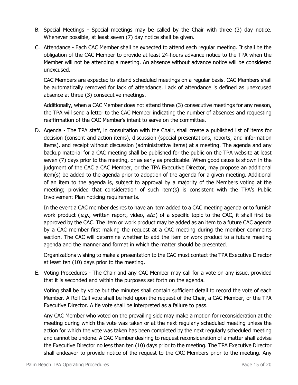- B. Special Meetings Special meetings may be called by the Chair with three (3) day notice. Whenever possible, at least seven (7) day notice shall be given.
- C. Attendance Each CAC Member shall be expected to attend each regular meeting. It shall be the obligation of the CAC Member to provide at least 24-hours advance notice to the TPA when the Member will not be attending a meeting. An absence without advance notice will be considered unexcused.

CAC Members are expected to attend scheduled meetings on a regular basis. CAC Members shall be automatically removed for lack of attendance. Lack of attendance is defined as unexcused absence at three (3) consecutive meetings.

Additionally, when a CAC Member does not attend three (3) consecutive meetings for any reason, the TPA will send a letter to the CAC Member indicating the number of absences and requesting reaffirmation of the CAC Member's intent to serve on the committee.

D. Agenda - The TPA staff, in consultation with the Chair, shall create a published list of items for decision (consent and action items), discussion (special presentations, reports, and information items), and receipt without discussion (administrative items) at a meeting. The agenda and any backup material for a CAC meeting shall be published for the public on the TPA website at least seven (7) days prior to the meeting, or as early as practicable. When good cause is shown in the judgment of the CAC a CAC Member, or the TPA Executive Director, may propose an additional item(s) be added to the agenda prior to adoption of the agenda for a given meeting. Additional of an item to the agenda is, subject to approval by a majority of the Members voting at the meeting; provided that consideration of such item(s) is consistent with the TPA's Public Involvement Plan noticing requirements.

In the event a CAC member desires to have an item added to a CAC meeting agenda or to furnish work product (e.g., written report, video, etc.) of a specific topic to the CAC, it shall first be approved by the CAC. The item or work product may be added as an item to a future CAC agenda by a CAC member first making the request at a CAC meeting during the member comments section. The CAC will determine whether to add the item or work product to a future meeting agenda and the manner and format in which the matter should be presented.

Organizations wishing to make a presentation to the CAC must contact the TPA Executive Director at least ten (10) days prior to the meeting.

E. Voting Procedures - The Chair and any CAC Member may call for a vote on any issue, provided that it is seconded and within the purposes set forth on the agenda.

Voting shall be by voice but the minutes shall contain sufficient detail to record the vote of each Member. A Roll Call vote shall be held upon the request of the Chair, a CAC Member, or the TPA Executive Director. A tie vote shall be interpreted as a failure to pass.

Any CAC Member who voted on the prevailing side may make a motion for reconsideration at the meeting during which the vote was taken or at the next regularly scheduled meeting unless the action for which the vote was taken has been completed by the next regularly scheduled meeting and cannot be undone. A CAC Member desiring to request reconsideration of a matter shall advise the Executive Director no less than ten (10) days prior to the meeting. The TPA Executive Director shall endeavor to provide notice of the request to the CAC Members prior to the meeting. Any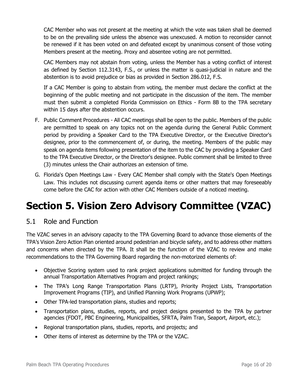CAC Member who was not present at the meeting at which the vote was taken shall be deemed to be on the prevailing side unless the absence was unexcused. A motion to reconsider cannot be renewed if it has been voted on and defeated except by unanimous consent of those voting Members present at the meeting. Proxy and absentee voting are not permitted.

CAC Members may not abstain from voting, unless the Member has a voting conflict of interest as defined by Section 112.3143, F.S., or unless the matter is quasi-judicial in nature and the abstention is to avoid prejudice or bias as provided in Section 286.012, F.S.

If a CAC Member is going to abstain from voting, the member must declare the conflict at the beginning of the public meeting and not participate in the discussion of the item. The member must then submit a completed Florida Commission on Ethics - Form 8B to the TPA secretary within 15 days after the abstention occurs.

- F. Public Comment Procedures All CAC meetings shall be open to the public. Members of the public are permitted to speak on any topics not on the agenda during the General Public Comment period by providing a Speaker Card to the TPA Executive Director, or the Executive Director's designee, prior to the commencement of, or during, the meeting. Members of the public may speak on agenda items following presentation of the item to the CAC by providing a Speaker Card to the TPA Executive Director, or the Director's designee. Public comment shall be limited to three (3) minutes unless the Chair authorizes an extension of time.
- G. Florida's Open Meetings Law Every CAC Member shall comply with the State's Open Meetings Law. This includes not discussing current agenda items or other matters that may foreseeably come before the CAC for action with other CAC Members outside of a noticed meeting.

## <span id="page-15-0"></span>**Section 5. Vision Zero Advisory Committee (VZAC)**

#### <span id="page-15-1"></span>5.1 Role and Function

The VZAC serves in an advisory capacity to the TPA Governing Board to advance those elements of the TPA's Vision Zero Action Plan oriented around pedestrian and bicycle safety, and to address other matters and concerns when directed by the TPA. It shall be the function of the VZAC to review and make recommendations to the TPA Governing Board regarding the non-motorized elements of:

- Objective Scoring system used to rank project applications submitted for funding through the annual Transportation Alternatives Program and project rankings;
- The TPA's Long Range Transportation Plans (LRTP), Priority Project Lists, Transportation Improvement Programs (TIP), and Unified Planning Work Programs (UPWP);
- Other TPA-led transportation plans, studies and reports;
- Transportation plans, studies, reports, and project designs presented to the TPA by partner agencies (FDOT, PBC Engineering, Municipalities, SFRTA, Palm Tran, Seaport, Airport, etc.);
- Regional transportation plans, studies, reports, and projects; and
- Other items of interest as determine by the TPA or the VZAC.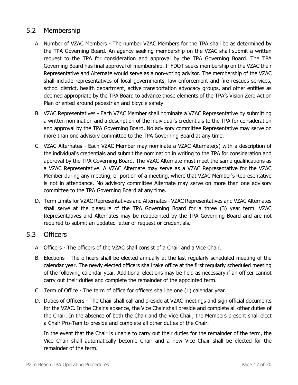#### <span id="page-16-0"></span>5.2 Membership

- A. Number of VZAC Members The number VZAC Members for the TPA shall be as determined by the TPA Governing Board. An agency seeking membership on the VZAC shall submit a written request to the TPA for consideration and approval by the TPA Governing Board. The TPA Governing Board has final approval of membership. If FDOT seeks membership on the VZAC their Representative and Alternate would serve as a non-voting advisor. The membership of the VZAC shall include representatives of local governments, law enforcement and fire rescues services, school district, health department, active transportation advocacy groups, and other entities as deemed appropriate by the TPA Board to advance those elements of the TPA's Vision Zero Action Plan oriented around pedestrian and bicycle safety.
- B. VZAC Representatives Each VZAC Member shall nominate a VZAC Representative by submitting a written nomination and a description of the individual's credentials to the TPA for consideration and approval by the TPA Governing Board. No advisory committee Representative may serve on more than one advisory committee to the TPA Governing Board at any time.
- C. VZAC Alternates Each VZAC Member may nominate a VZAC Alternate(s) with a description of the individual's credentials and submit the nomination in writing to the TPA for consideration and approval by the TPA Governing Board. The VZAC Alternate must meet the same qualifications as a VZAC Representative. A VZAC Alternate may serve as a VZAC Representative for the VZAC Member during any meeting, or portion of a meeting, where that VZAC Member's Representative is not in attendance. No advisory committee Alternate may serve on more than one advisory committee to the TPA Governing Board at any time.
- D. Term Limits for VZAC Representatives and Alternates VZAC Representatives and VZAC Alternates shall serve at the pleasure of the TPA Governing Board for a three (3) year term. VZAC Representatives and Alternates may be reappointed by the TPA Governing Board and are not required to submit an updated letter of request or credentials.

#### <span id="page-16-1"></span>5.3 Officers

- A. Officers The officers of the VZAC shall consist of a Chair and a Vice Chair.
- B. Elections The officers shall be elected annually at the last regularly scheduled meeting of the calendar year. The newly elected officers shall take office at the first regularly scheduled meeting of the following calendar year. Additional elections may be held as necessary if an officer cannot carry out their duties and complete the remainder of the appointed term.
- C. Term of Office The term of office for officers shall be one (1) calendar year.
- D. Duties of Officers The Chair shall call and preside at VZAC meetings and sign official documents for the VZAC. In the Chair's absence, the Vice Chair shall preside and complete all other duties of the Chair. In the absence of both the Chair and the Vice Chair, the Members present shall elect a Chair Pro-Tem to preside and complete all other duties of the Chair.

In the event that the Chair is unable to carry out their duties for the remainder of the term, the Vice Chair shall automatically become Chair and a new Vice Chair shall be elected for the remainder of the term.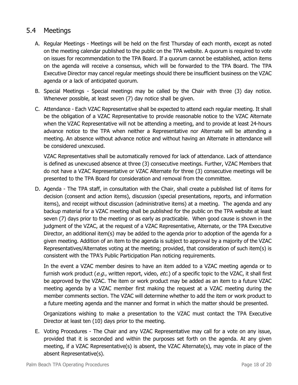#### <span id="page-17-0"></span>5.4 Meetings

- A. Regular Meetings Meetings will be held on the first Thursday of each month, except as noted on the meeting calendar published to the public on the TPA website. A quorum is required to vote on issues for recommendation to the TPA Board. If a quorum cannot be established, action items on the agenda will receive a consensus, which will be forwarded to the TPA Board. The TPA Executive Director may cancel regular meetings should there be insufficient business on the VZAC agenda or a lack of anticipated quorum.
- B. Special Meetings Special meetings may be called by the Chair with three (3) day notice. Whenever possible, at least seven (7) day notice shall be given.
- C. Attendance Each VZAC Representative shall be expected to attend each regular meeting. It shall be the obligation of a VZAC Representative to provide reasonable notice to the VZAC Alternate when the VZAC Representative will not be attending a meeting, and to provide at least 24-hours advance notice to the TPA when neither a Representative nor Alternate will be attending a meeting. An absence without advance notice and without having an Alternate in attendance will be considered unexcused.

VZAC Representatives shall be automatically removed for lack of attendance. Lack of attendance is defined as unexcused absence at three (3) consecutive meetings. Further, VZAC Members that do not have a VZAC Representative or VZAC Alternate for three (3) consecutive meetings will be presented to the TPA Board for consideration and removal from the committee.

D. Agenda - The TPA staff, in consultation with the Chair, shall create a published list of items for decision (consent and action items), discussion (special presentations, reports, and information items), and receipt without discussion (administrative items) at a meeting. The agenda and any backup material for a VZAC meeting shall be published for the public on the TPA website at least seven (7) days prior to the meeting or as early as practicable. When good cause is shown in the judgment of the VZAC, at the request of a VZAC Representative, Alternate, or the TPA Executive Director, an additional item(s) may be added to the agenda prior to adoption of the agenda for a given meeting. Addition of an item to the agenda is subject to approval by a majority of the VZAC Representatives/Alternates voting at the meeting; provided, that consideration of such item(s) is consistent with the TPA's Public Participation Plan noticing requirements.

In the event a VZAC member desires to have an item added to a VZAC meeting agenda or to furnish work product (e.g., written report, video, etc.) of a specific topic to the VZAC, it shall first be approved by the VZAC. The item or work product may be added as an item to a future VZAC meeting agenda by a VZAC member first making the request at a VZAC meeting during the member comments section. The VZAC will determine whether to add the item or work product to a future meeting agenda and the manner and format in which the matter should be presented.

Organizations wishing to make a presentation to the VZAC must contact the TPA Executive Director at least ten (10) days prior to the meeting.

E. Voting Procedures - The Chair and any VZAC Representative may call for a vote on any issue, provided that it is seconded and within the purposes set forth on the agenda. At any given meeting, if a VZAC Representative(s) is absent, the VZAC Alternate(s), may vote in place of the absent Representative(s).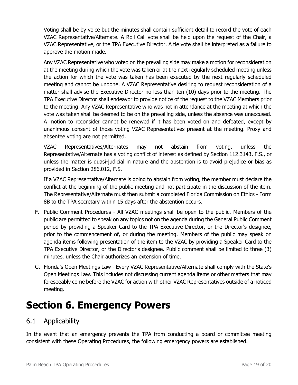Voting shall be by voice but the minutes shall contain sufficient detail to record the vote of each VZAC Representative/Alternate. A Roll Call vote shall be held upon the request of the Chair, a VZAC Representative, or the TPA Executive Director. A tie vote shall be interpreted as a failure to approve the motion made.

Any VZAC Representative who voted on the prevailing side may make a motion for reconsideration at the meeting during which the vote was taken or at the next regularly scheduled meeting unless the action for which the vote was taken has been executed by the next regularly scheduled meeting and cannot be undone. A VZAC Representative desiring to request reconsideration of a matter shall advise the Executive Director no less than ten (10) days prior to the meeting. The TPA Executive Director shall endeavor to provide notice of the request to the VZAC Members prior to the meeting. Any VZAC Representative who was not in attendance at the meeting at which the vote was taken shall be deemed to be on the prevailing side, unless the absence was unexcused. A motion to reconsider cannot be renewed if it has been voted on and defeated, except by unanimous consent of those voting VZAC Representatives present at the meeting. Proxy and absentee voting are not permitted.

VZAC Representatives/Alternates may not abstain from voting, unless the Representative/Alternate has a voting conflict of interest as defined by Section 112.3143, F.S., or unless the matter is quasi-judicial in nature and the abstention is to avoid prejudice or bias as provided in Section 286.012, F.S.

If a VZAC Representative/Alternate is going to abstain from voting, the member must declare the conflict at the beginning of the public meeting and not participate in the discussion of the item. The Representative/Alternate must then submit a completed Florida Commission on Ethics - Form 8B to the TPA secretary within 15 days after the abstention occurs.

- F. Public Comment Procedures All VZAC meetings shall be open to the public. Members of the public are permitted to speak on any topics not on the agenda during the General Public Comment period by providing a Speaker Card to the TPA Executive Director, or the Director's designee, prior to the commencement of, or during the meeting. Members of the public may speak on agenda items following presentation of the item to the VZAC by providing a Speaker Card to the TPA Executive Director, or the Director's designee. Public comment shall be limited to three (3) minutes, unless the Chair authorizes an extension of time.
- G. Florida's Open Meetings Law Every VZAC Representative/Alternate shall comply with the State's Open Meetings Law. This includes not discussing current agenda items or other matters that may foreseeably come before the VZAC for action with other VZAC Representatives outside of a noticed meeting.

## <span id="page-18-0"></span>**Section 6. Emergency Powers**

#### <span id="page-18-1"></span>6.1 Applicability

In the event that an emergency prevents the TPA from conducting a board or committee meeting consistent with these Operating Procedures, the following emergency powers are established.